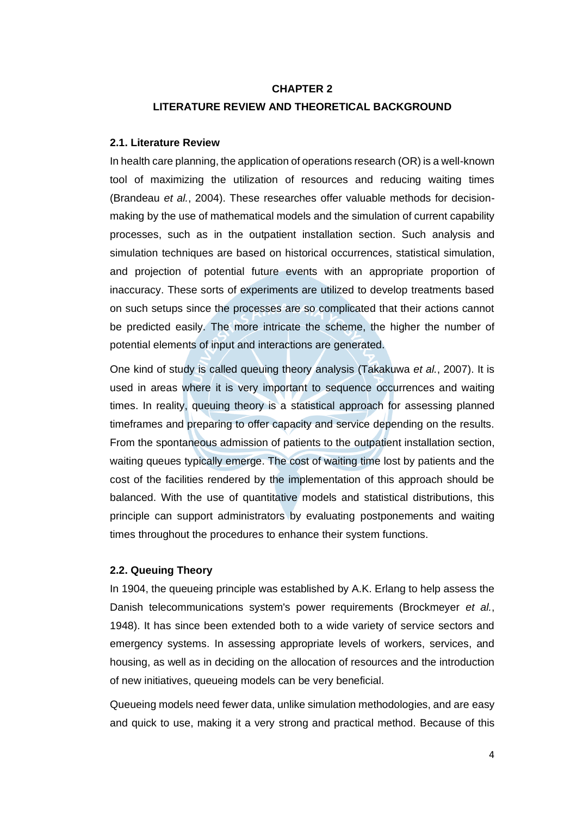### **CHAPTER 2**

## **LITERATURE REVIEW AND THEORETICAL BACKGROUND**

### **2.1. Literature Review**

In health care planning, the application of operations research (OR) is a well-known tool of maximizing the utilization of resources and reducing waiting times (Brandeau *et al.*, 2004). These researches offer valuable methods for decisionmaking by the use of mathematical models and the simulation of current capability processes, such as in the outpatient installation section. Such analysis and simulation techniques are based on historical occurrences, statistical simulation, and projection of potential future events with an appropriate proportion of inaccuracy. These sorts of experiments are utilized to develop treatments based on such setups since the processes are so complicated that their actions cannot be predicted easily. The more intricate the scheme, the higher the number of potential elements of input and interactions are generated.

One kind of study is called queuing theory analysis (Takakuwa *et al.*, 2007). It is used in areas where it is very important to sequence occurrences and waiting times. In reality, queuing theory is a statistical approach for assessing planned timeframes and preparing to offer capacity and service depending on the results. From the spontaneous admission of patients to the outpatient installation section, waiting queues typically emerge. The cost of waiting time lost by patients and the cost of the facilities rendered by the implementation of this approach should be balanced. With the use of quantitative models and statistical distributions, this principle can support administrators by evaluating postponements and waiting times throughout the procedures to enhance their system functions.

#### **2.2. Queuing Theory**

In 1904, the queueing principle was established by A.K. Erlang to help assess the Danish telecommunications system's power requirements (Brockmeyer *et al.*, 1948). It has since been extended both to a wide variety of service sectors and emergency systems. In assessing appropriate levels of workers, services, and housing, as well as in deciding on the allocation of resources and the introduction of new initiatives, queueing models can be very beneficial.

Queueing models need fewer data, unlike simulation methodologies, and are easy and quick to use, making it a very strong and practical method. Because of this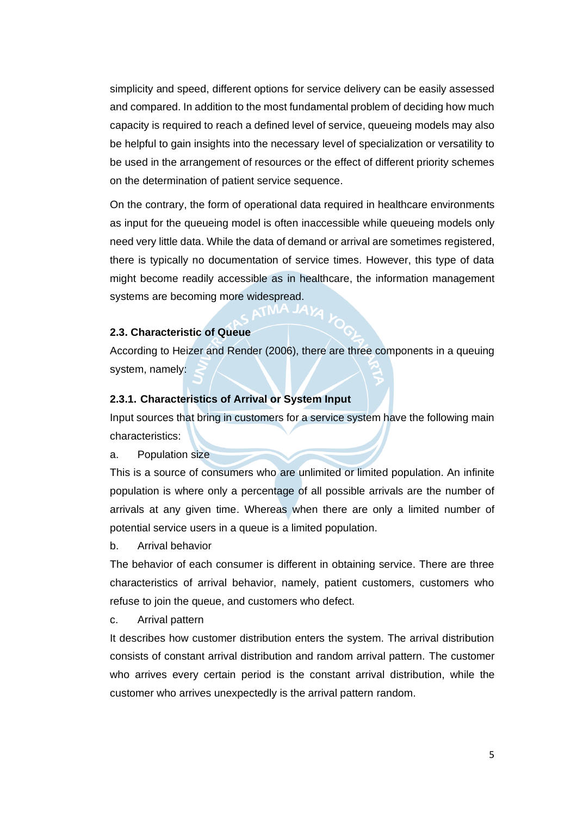simplicity and speed, different options for service delivery can be easily assessed and compared. In addition to the most fundamental problem of deciding how much capacity is required to reach a defined level of service, queueing models may also be helpful to gain insights into the necessary level of specialization or versatility to be used in the arrangement of resources or the effect of different priority schemes on the determination of patient service sequence.

On the contrary, the form of operational data required in healthcare environments as input for the queueing model is often inaccessible while queueing models only need very little data. While the data of demand or arrival are sometimes registered, there is typically no documentation of service times. However, this type of data might become readily accessible as in healthcare, the information management systems are becoming more widespread.

### **2.3. Characteristic of Queue**

According to Heizer and Render (2006), there are three components in a queuing system, namely:

#### **2.3.1. Characteristics of Arrival or System Input**

Input sources that bring in customers for a service system have the following main characteristics:

a. Population size

This is a source of consumers who are unlimited or limited population. An infinite population is where only a percentage of all possible arrivals are the number of arrivals at any given time. Whereas when there are only a limited number of potential service users in a queue is a limited population.

b. Arrival behavior

The behavior of each consumer is different in obtaining service. There are three characteristics of arrival behavior, namely, patient customers, customers who refuse to join the queue, and customers who defect.

c. Arrival pattern

It describes how customer distribution enters the system. The arrival distribution consists of constant arrival distribution and random arrival pattern. The customer who arrives every certain period is the constant arrival distribution, while the customer who arrives unexpectedly is the arrival pattern random.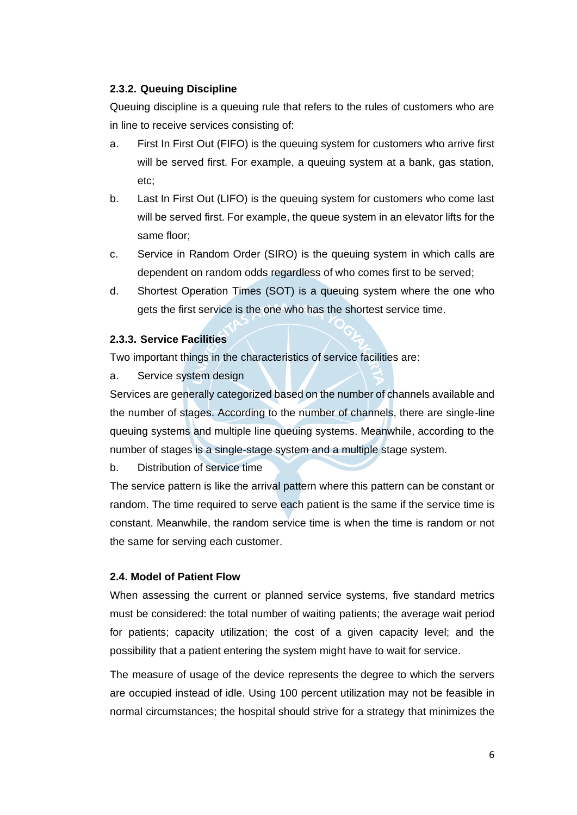# **2.3.2. Queuing Discipline**

Queuing discipline is a queuing rule that refers to the rules of customers who are in line to receive services consisting of:

- a. First In First Out (FIFO) is the queuing system for customers who arrive first will be served first. For example, a queuing system at a bank, gas station, etc;
- b. Last In First Out (LIFO) is the queuing system for customers who come last will be served first. For example, the queue system in an elevator lifts for the same floor;
- c. Service in Random Order (SIRO) is the queuing system in which calls are dependent on random odds regardless of who comes first to be served;
- d. Shortest Operation Times (SOT) is a queuing system where the one who gets the first service is the one who has the shortest service time.

# **2.3.3. Service Facilities**

Two important things in the characteristics of service facilities are:

a. Service system design

Services are generally categorized based on the number of channels available and the number of stages. According to the number of channels, there are single-line queuing systems and multiple line queuing systems. Meanwhile, according to the number of stages is a single-stage system and a multiple stage system.

b. Distribution of service time

The service pattern is like the arrival pattern where this pattern can be constant or random. The time required to serve each patient is the same if the service time is constant. Meanwhile, the random service time is when the time is random or not the same for serving each customer.

## **2.4. Model of Patient Flow**

When assessing the current or planned service systems, five standard metrics must be considered: the total number of waiting patients; the average wait period for patients; capacity utilization; the cost of a given capacity level; and the possibility that a patient entering the system might have to wait for service.

The measure of usage of the device represents the degree to which the servers are occupied instead of idle. Using 100 percent utilization may not be feasible in normal circumstances; the hospital should strive for a strategy that minimizes the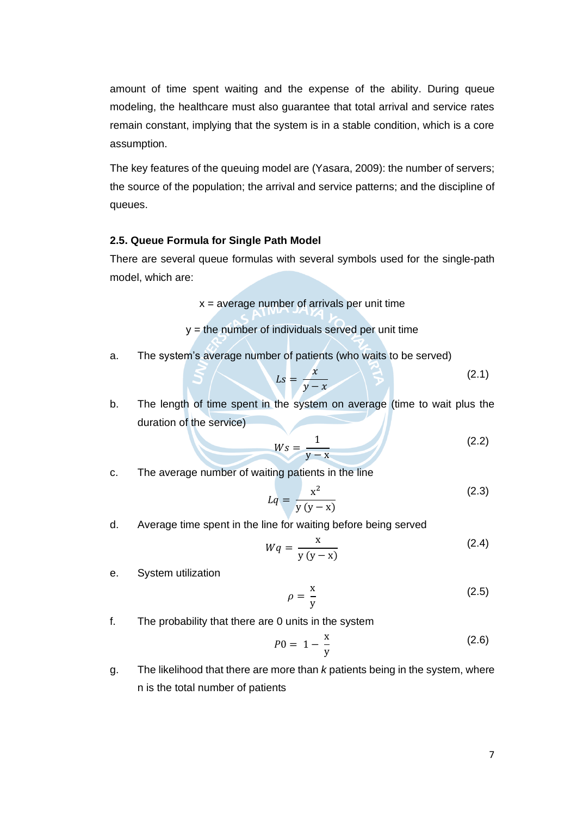amount of time spent waiting and the expense of the ability. During queue modeling, the healthcare must also guarantee that total arrival and service rates remain constant, implying that the system is in a stable condition, which is a core assumption.

The key features of the queuing model are (Yasara, 2009): the number of servers; the source of the population; the arrival and service patterns; and the discipline of queues.

## **2.5. Queue Formula for Single Path Model**

There are several queue formulas with several symbols used for the single-path model, which are:

 $x =$  average number of arrivals per unit time

 $y =$  the number of individuals served per unit time

a. The system's average number of patients (who waits to be served)

$$
Ls = \frac{x}{y - x} \tag{2.1}
$$

b. The length of time spent in the system on average (time to wait plus the duration of the service)

$$
Ws = \frac{1}{y - x} \tag{2.2}
$$

c. The average number of waiting patients in the line

$$
Lq = \frac{x^2}{y(y-x)}
$$
\n<sup>(2.3)</sup>

d. Average time spent in the line for waiting before being served

$$
Wq = \frac{x}{y(y-x)}
$$
 (2.4)

e. System utilization

$$
\rho = \frac{x}{y} \tag{2.5}
$$

f. The probability that there are 0 units in the system

$$
P0 = 1 - \frac{x}{y}
$$
 (2.6)

g. The likelihood that there are more than *k* patients being in the system, where n is the total number of patients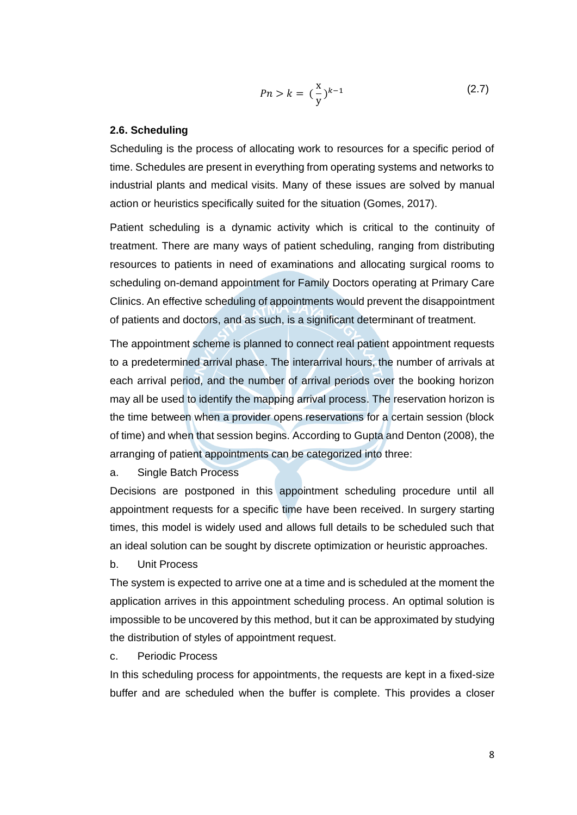$$
Pn > k = \left(\frac{x}{y}\right)^{k-1}
$$
 (2.7)

#### **2.6. Scheduling**

Scheduling is the process of allocating work to resources for a specific period of time. Schedules are present in everything from operating systems and networks to industrial plants and medical visits. Many of these issues are solved by manual action or heuristics specifically suited for the situation (Gomes, 2017).

Patient scheduling is a dynamic activity which is critical to the continuity of treatment. There are many ways of patient scheduling, ranging from distributing resources to patients in need of examinations and allocating surgical rooms to scheduling on-demand appointment for Family Doctors operating at Primary Care Clinics. An effective scheduling of appointments would prevent the disappointment of patients and doctors, and as such, is a significant determinant of treatment.

The appointment scheme is planned to connect real patient appointment requests to a predetermined arrival phase. The interarrival hours, the number of arrivals at each arrival period, and the number of arrival periods over the booking horizon may all be used to identify the mapping arrival process. The reservation horizon is the time between when a provider opens reservations for a certain session (block of time) and when that session begins. According to Gupta and Denton (2008), the arranging of patient appointments can be categorized into three:

a. Single Batch Process

Decisions are postponed in this appointment scheduling procedure until all appointment requests for a specific time have been received. In surgery starting times, this model is widely used and allows full details to be scheduled such that an ideal solution can be sought by discrete optimization or heuristic approaches.

b. Unit Process

The system is expected to arrive one at a time and is scheduled at the moment the application arrives in this appointment scheduling process. An optimal solution is impossible to be uncovered by this method, but it can be approximated by studying the distribution of styles of appointment request.

# c. Periodic Process

In this scheduling process for appointments, the requests are kept in a fixed-size buffer and are scheduled when the buffer is complete. This provides a closer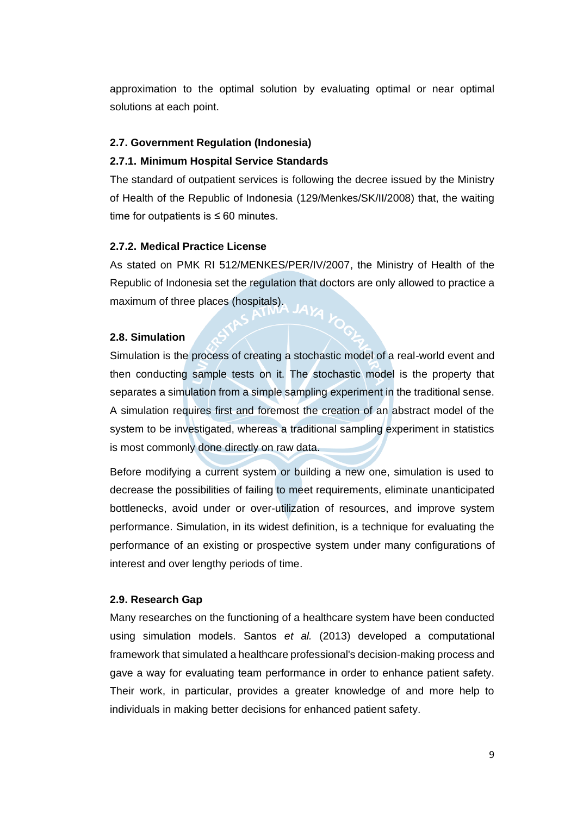approximation to the optimal solution by evaluating optimal or near optimal solutions at each point.

## **2.7. Government Regulation (Indonesia)**

## **2.7.1. Minimum Hospital Service Standards**

The standard of outpatient services is following the decree issued by the Ministry of Health of the Republic of Indonesia (129/Menkes/SK/II/2008) that, the waiting time for outpatients is  $\leq 60$  minutes.

## **2.7.2. Medical Practice License**

As stated on PMK RI 512/MENKES/PER/IV/2007, the Ministry of Health of the Republic of Indonesia set the regulation that doctors are only allowed to practice a maximum of three places (hospitals).

## **2.8. Simulation**

Simulation is the process of creating a stochastic model of a real-world event and then conducting sample tests on it. The stochastic model is the property that separates a simulation from a simple sampling experiment in the traditional sense. A simulation requires first and foremost the creation of an abstract model of the system to be investigated, whereas a traditional sampling experiment in statistics is most commonly done directly on raw data.

Before modifying a current system or building a new one, simulation is used to decrease the possibilities of failing to meet requirements, eliminate unanticipated bottlenecks, avoid under or over-utilization of resources, and improve system performance. Simulation, in its widest definition, is a technique for evaluating the performance of an existing or prospective system under many configurations of interest and over lengthy periods of time.

### **2.9. Research Gap**

Many researches on the functioning of a healthcare system have been conducted using simulation models. Santos *et al.* (2013) developed a computational framework that simulated a healthcare professional's decision-making process and gave a way for evaluating team performance in order to enhance patient safety. Their work, in particular, provides a greater knowledge of and more help to individuals in making better decisions for enhanced patient safety.